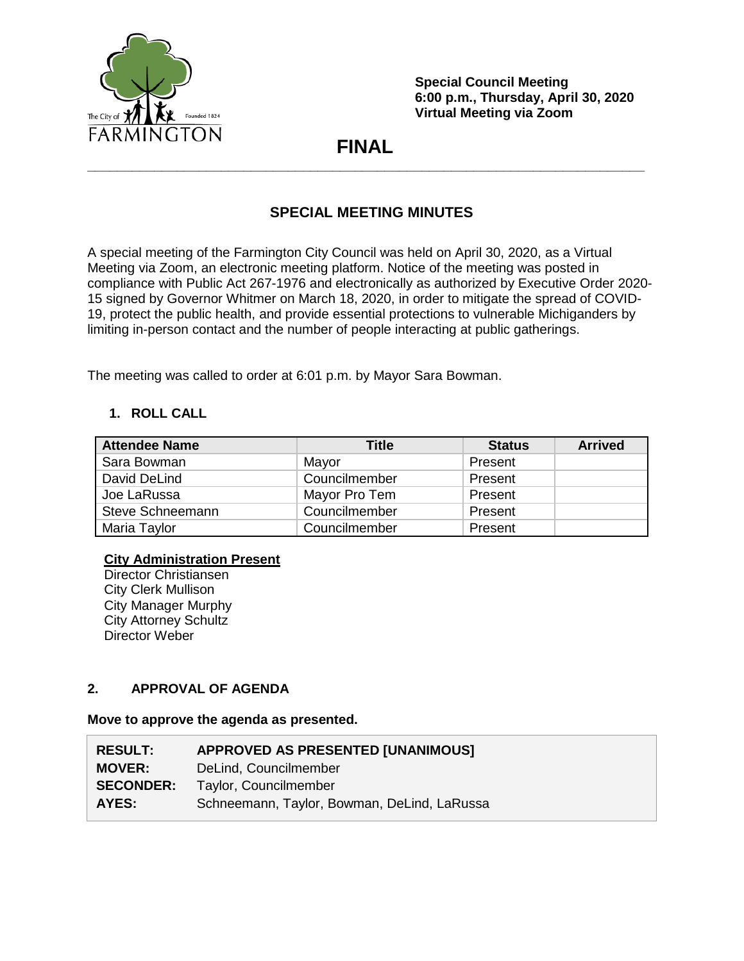

**Special Council Meeting 6:00 p.m., Thursday, April 30, 2020 Virtual Meeting via Zoom**

# **FINAL \_\_\_\_\_\_\_\_\_\_\_\_\_\_\_\_\_\_\_\_\_\_\_\_\_\_\_\_\_\_\_\_\_\_\_\_\_\_\_\_\_\_\_\_\_\_\_\_\_\_\_\_\_\_\_\_\_\_\_\_\_\_\_\_\_\_\_\_\_\_\_\_\_\_\_**

## **SPECIAL MEETING MINUTES**

A special meeting of the Farmington City Council was held on April 30, 2020, as a Virtual Meeting via Zoom, an electronic meeting platform. Notice of the meeting was posted in compliance with Public Act 267-1976 and electronically as authorized by Executive Order 2020- 15 signed by Governor Whitmer on March 18, 2020, in order to mitigate the spread of COVID-19, protect the public health, and provide essential protections to vulnerable Michiganders by limiting in-person contact and the number of people interacting at public gatherings.

The meeting was called to order at 6:01 p.m. by Mayor Sara Bowman.

## **1. ROLL CALL**

| <b>Attendee Name</b> | Title         | <b>Status</b> | <b>Arrived</b> |
|----------------------|---------------|---------------|----------------|
| Sara Bowman          | Mayor         | Present       |                |
| David DeLind         | Councilmember | Present       |                |
| Joe LaRussa          | Mayor Pro Tem | Present       |                |
| Steve Schneemann     | Councilmember | Present       |                |
| Maria Taylor         | Councilmember | Present       |                |

### **City Administration Present**

Director Christiansen City Clerk Mullison City Manager Murphy City Attorney Schultz Director Weber

### **2. APPROVAL OF AGENDA**

### **Move to approve the agenda as presented.**

| <b>RESULT:</b>   | <b>APPROVED AS PRESENTED [UNANIMOUS]</b>    |
|------------------|---------------------------------------------|
| <b>MOVER:</b>    | DeLind, Councilmember                       |
| <b>SECONDER:</b> | Taylor, Councilmember                       |
| AYES:            | Schneemann, Taylor, Bowman, DeLind, LaRussa |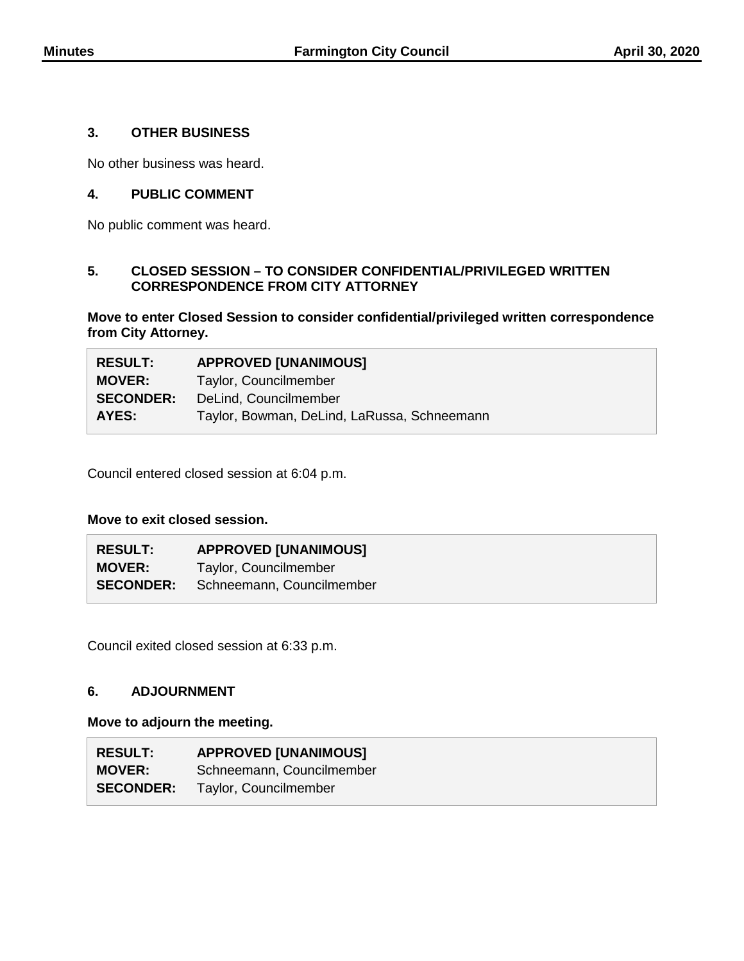#### **3. OTHER BUSINESS**

No other business was heard.

### **4. PUBLIC COMMENT**

No public comment was heard.

#### **5. CLOSED SESSION – TO CONSIDER CONFIDENTIAL/PRIVILEGED WRITTEN CORRESPONDENCE FROM CITY ATTORNEY**

**Move to enter Closed Session to consider confidential/privileged written correspondence from City Attorney.**

| <b>RESULT:</b>   | <b>APPROVED [UNANIMOUS]</b>                 |
|------------------|---------------------------------------------|
| <b>MOVER:</b>    | Taylor, Councilmember                       |
| <b>SECONDER:</b> | DeLind, Councilmember                       |
| AYES:            | Taylor, Bowman, DeLind, LaRussa, Schneemann |

Council entered closed session at 6:04 p.m.

#### **Move to exit closed session.**

| <b>RESULT:</b> | <b>APPROVED [UNANIMOUS]</b>                |
|----------------|--------------------------------------------|
| <b>MOVER:</b>  | Taylor, Councilmember                      |
|                | <b>SECONDER:</b> Schneemann, Councilmember |

Council exited closed session at 6:33 p.m.

#### **6. ADJOURNMENT**

#### **Move to adjourn the meeting.**

| <b>RESULT:</b>   | <b>APPROVED [UNANIMOUS]</b> |
|------------------|-----------------------------|
| <b>MOVER:</b>    | Schneemann, Councilmember   |
| <b>SECONDER:</b> | Taylor, Councilmember       |